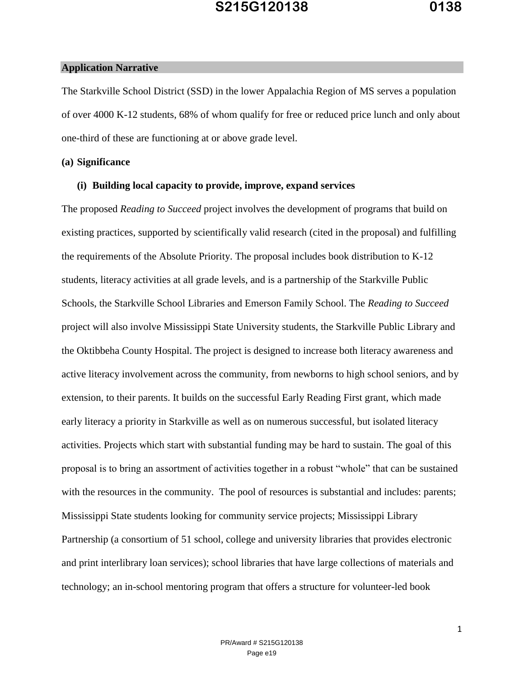#### **Application Narrative**

The Starkville School District (SSD) in the lower Appalachia Region of MS serves a population of over 4000 K-12 students, 68% of whom qualify for free or reduced price lunch and only about one-third of these are functioning at or above grade level.

### **(a) Significance**

#### **(i) Building local capacity to provide, improve, expand services**

The proposed *Reading to Succeed* project involves the development of programs that build on existing practices, supported by scientifically valid research (cited in the proposal) and fulfilling the requirements of the Absolute Priority. The proposal includes book distribution to K-12 students, literacy activities at all grade levels, and is a partnership of the Starkville Public Schools, the Starkville School Libraries and Emerson Family School. The *Reading to Succeed* project will also involve Mississippi State University students, the Starkville Public Library and the Oktibbeha County Hospital. The project is designed to increase both literacy awareness and active literacy involvement across the community, from newborns to high school seniors, and by extension, to their parents. It builds on the successful Early Reading First grant, which made early literacy a priority in Starkville as well as on numerous successful, but isolated literacy activities. Projects which start with substantial funding may be hard to sustain. The goal of this proposal is to bring an assortment of activities together in a robust "whole" that can be sustained with the resources in the community. The pool of resources is substantial and includes: parents; Mississippi State students looking for community service projects; Mississippi Library Partnership (a consortium of 51 school, college and university libraries that provides electronic and print interlibrary loan services); school libraries that have large collections of materials and technology; an in-school mentoring program that offers a structure for volunteer-led book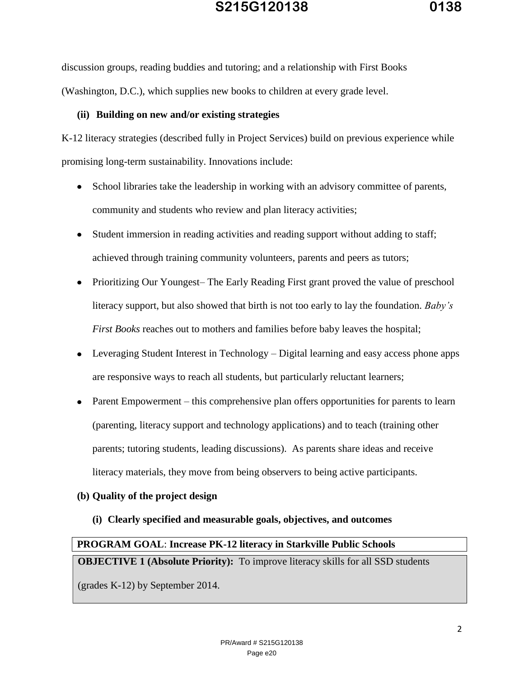discussion groups, reading buddies and tutoring; and a relationship with First Books (Washington, D.C.), which supplies new books to children at every grade level.

### **(ii) Building on new and/or existing strategies**

K-12 literacy strategies (described fully in Project Services) build on previous experience while promising long-term sustainability. Innovations include:

- School libraries take the leadership in working with an advisory committee of parents,  $\bullet$ community and students who review and plan literacy activities;
- Student immersion in reading activities and reading support without adding to staff; achieved through training community volunteers, parents and peers as tutors;
- Prioritizing Our Youngest– The Early Reading First grant proved the value of preschool literacy support, but also showed that birth is not too early to lay the foundation. *Baby's First Books* reaches out to mothers and families before baby leaves the hospital;
- Leveraging Student Interest in Technology Digital learning and easy access phone apps are responsive ways to reach all students, but particularly reluctant learners;
- Parent Empowerment this comprehensive plan offers opportunities for parents to learn (parenting, literacy support and technology applications) and to teach (training other parents; tutoring students, leading discussions). As parents share ideas and receive literacy materials, they move from being observers to being active participants.

### **(b) Quality of the project design**

**(i) Clearly specified and measurable goals, objectives, and outcomes** 

## **PROGRAM GOAL**: **Increase PK-12 literacy in Starkville Public Schools**

**OBJECTIVE 1 (Absolute Priority):** To improve literacy skills for all SSD students

(grades K-12) by September 2014.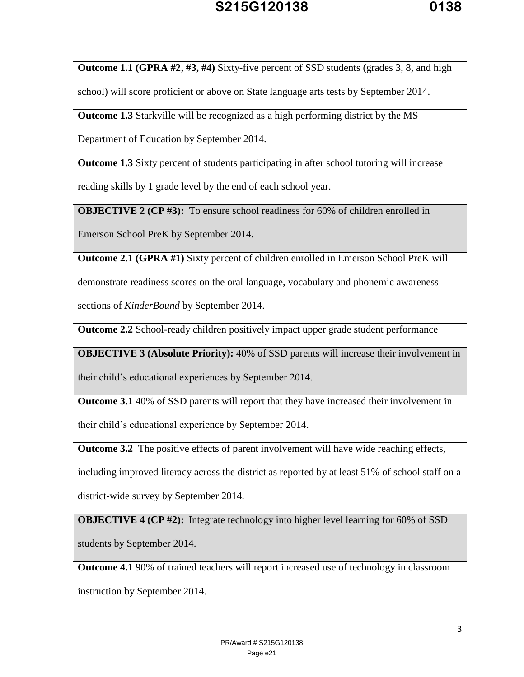**Outcome 1.1 (GPRA #2, #3, #4)** Sixty-five percent of SSD students (grades 3, 8, and high

school) will score proficient or above on State language arts tests by September 2014.

**Outcome 1.3** Starkville will be recognized as a high performing district by the MS

Department of Education by September 2014.

**Outcome 1.3** Sixty percent of students participating in after school tutoring will increase

reading skills by 1 grade level by the end of each school year.

**OBJECTIVE 2 (CP #3):** To ensure school readiness for 60% of children enrolled in

Emerson School PreK by September 2014.

**Outcome 2.1 (GPRA #1)** Sixty percent of children enrolled in Emerson School PreK will

demonstrate readiness scores on the oral language, vocabulary and phonemic awareness

sections of *KinderBound* by September 2014.

**Outcome 2.2** School-ready children positively impact upper grade student performance

**OBJECTIVE 3 (Absolute Priority):** 40% of SSD parents will increase their involvement in

their child's educational experiences by September 2014.

**Outcome 3.1** 40% of SSD parents will report that they have increased their involvement in

their child's educational experience by September 2014.

**Outcome 3.2** The positive effects of parent involvement will have wide reaching effects,

including improved literacy across the district as reported by at least 51% of school staff on a

district-wide survey by September 2014.

**OBJECTIVE 4 (CP #2):** Integrate technology into higher level learning for 60% of SSD

students by September 2014.

**Outcome 4.1** 90% of trained teachers will report increased use of technology in classroom

instruction by September 2014.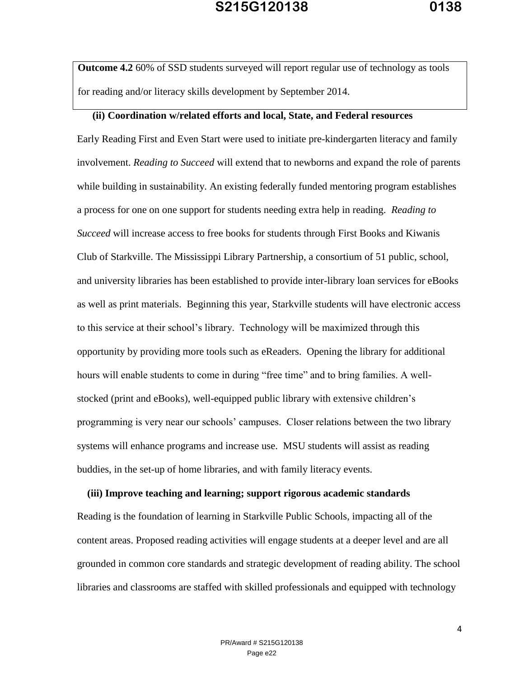**Outcome 4.2** 60% of SSD students surveyed will report regular use of technology as tools for reading and/or literacy skills development by September 2014.

### **(ii) Coordination w/related efforts and local, State, and Federal resources**

Early Reading First and Even Start were used to initiate pre-kindergarten literacy and family involvement. *Reading to Succeed* will extend that to newborns and expand the role of parents while building in sustainability. An existing federally funded mentoring program establishes a process for one on one support for students needing extra help in reading. *Reading to Succeed* will increase access to free books for students through First Books and Kiwanis Club of Starkville. The Mississippi Library Partnership, a consortium of 51 public, school, and university libraries has been established to provide inter-library loan services for eBooks as well as print materials. Beginning this year, Starkville students will have electronic access to this service at their school's library. Technology will be maximized through this opportunity by providing more tools such as eReaders. Opening the library for additional hours will enable students to come in during "free time" and to bring families. A wellstocked (print and eBooks), well-equipped public library with extensive children's programming is very near our schools' campuses. Closer relations between the two library systems will enhance programs and increase use. MSU students will assist as reading buddies, in the set-up of home libraries, and with family literacy events.

### **(iii) Improve teaching and learning; support rigorous academic standards**

Reading is the foundation of learning in Starkville Public Schools, impacting all of the content areas. Proposed reading activities will engage students at a deeper level and are all grounded in common core standards and strategic development of reading ability. The school libraries and classrooms are staffed with skilled professionals and equipped with technology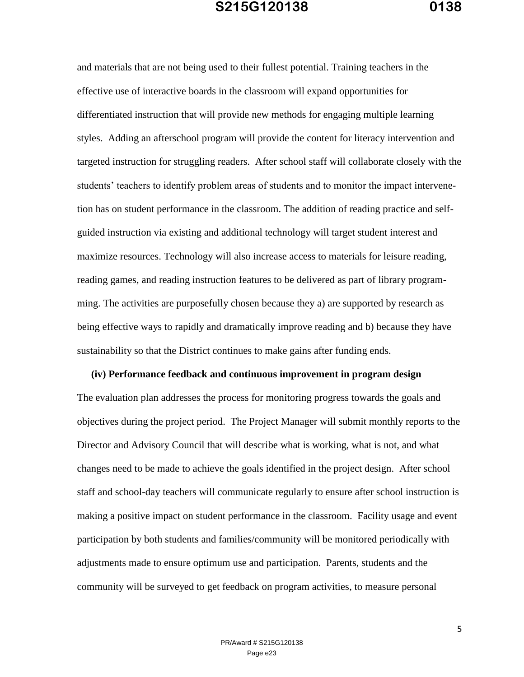and materials that are not being used to their fullest potential. Training teachers in the effective use of interactive boards in the classroom will expand opportunities for differentiated instruction that will provide new methods for engaging multiple learning styles. Adding an afterschool program will provide the content for literacy intervention and targeted instruction for struggling readers. After school staff will collaborate closely with the students' teachers to identify problem areas of students and to monitor the impact intervenetion has on student performance in the classroom. The addition of reading practice and selfguided instruction via existing and additional technology will target student interest and maximize resources. Technology will also increase access to materials for leisure reading, reading games, and reading instruction features to be delivered as part of library programming. The activities are purposefully chosen because they a) are supported by research as being effective ways to rapidly and dramatically improve reading and b) because they have sustainability so that the District continues to make gains after funding ends.

**(iv) Performance feedback and continuous improvement in program design** The evaluation plan addresses the process for monitoring progress towards the goals and objectives during the project period. The Project Manager will submit monthly reports to the Director and Advisory Council that will describe what is working, what is not, and what changes need to be made to achieve the goals identified in the project design. After school staff and school-day teachers will communicate regularly to ensure after school instruction is making a positive impact on student performance in the classroom. Facility usage and event participation by both students and families/community will be monitored periodically with adjustments made to ensure optimum use and participation. Parents, students and the community will be surveyed to get feedback on program activities, to measure personal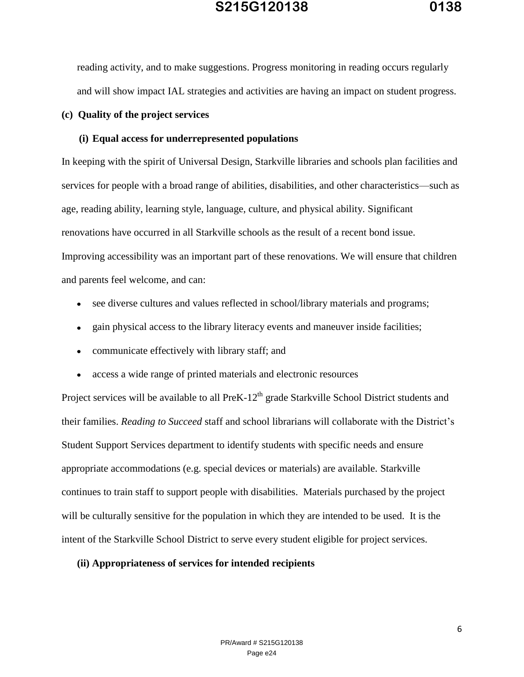reading activity, and to make suggestions. Progress monitoring in reading occurs regularly and will show impact IAL strategies and activities are having an impact on student progress.

#### **(c) Quality of the project services**

### **(i) Equal access for underrepresented populations**

In keeping with the spirit of Universal Design, Starkville libraries and schools plan facilities and services for people with a broad range of abilities, disabilities, and other characteristics—such as age, reading ability, learning style, language, culture, and physical ability. Significant renovations have occurred in all Starkville schools as the result of a recent bond issue. Improving accessibility was an important part of these renovations. We will ensure that children and parents feel welcome, and can:

- see diverse cultures and values reflected in school/library materials and programs;
- gain physical access to the library literacy events and maneuver inside facilities;  $\bullet$
- communicate effectively with library staff; and  $\bullet$
- access a wide range of printed materials and electronic resources

Project services will be available to all PreK-12<sup>th</sup> grade Starkville School District students and their families. *Reading to Succeed* staff and school librarians will collaborate with the District's Student Support Services department to identify students with specific needs and ensure appropriate accommodations (e.g. special devices or materials) are available. Starkville continues to train staff to support people with disabilities. Materials purchased by the project will be culturally sensitive for the population in which they are intended to be used. It is the intent of the Starkville School District to serve every student eligible for project services.

#### **(ii) Appropriateness of services for intended recipients**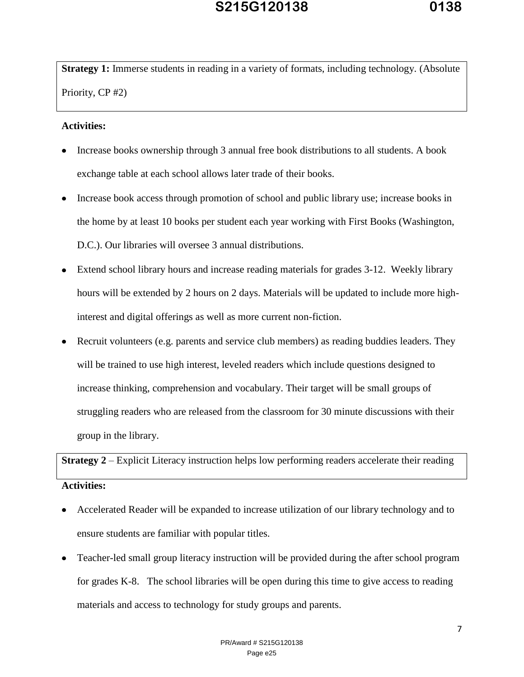**Strategy 1:** Immerse students in reading in a variety of formats, including technology. (Absolute Priority, CP #2)

### **Activities:**

- Increase books ownership through 3 annual free book distributions to all students. A book exchange table at each school allows later trade of their books.
- Increase book access through promotion of school and public library use; increase books in the home by at least 10 books per student each year working with First Books (Washington, D.C.). Our libraries will oversee 3 annual distributions.
- Extend school library hours and increase reading materials for grades 3-12. Weekly library hours will be extended by 2 hours on 2 days. Materials will be updated to include more highinterest and digital offerings as well as more current non-fiction.
- Recruit volunteers (e.g. parents and service club members) as reading buddies leaders. They will be trained to use high interest, leveled readers which include questions designed to increase thinking, comprehension and vocabulary. Their target will be small groups of struggling readers who are released from the classroom for 30 minute discussions with their group in the library.

**Strategy 2** – Explicit Literacy instruction helps low performing readers accelerate their reading **Activities:**

- Accelerated Reader will be expanded to increase utilization of our library technology and to ensure students are familiar with popular titles.
- Teacher-led small group literacy instruction will be provided during the after school program for grades K-8. The school libraries will be open during this time to give access to reading materials and access to technology for study groups and parents.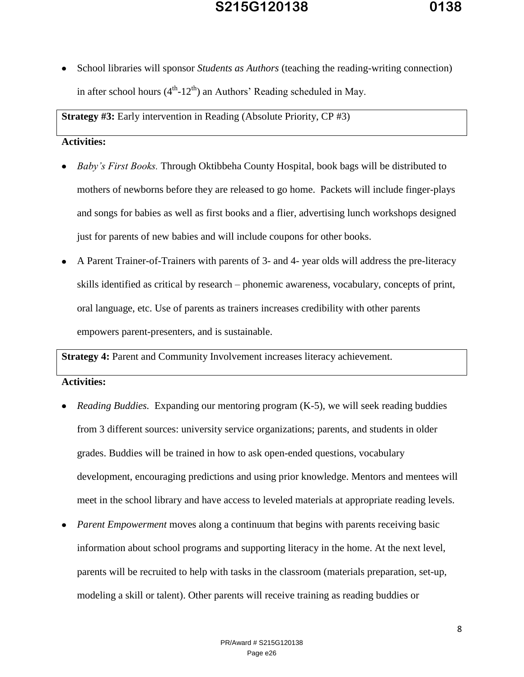School libraries will sponsor *Students as Authors* (teaching the reading-writing connection) in after school hours  $(4<sup>th</sup>-12<sup>th</sup>)$  an Authors' Reading scheduled in May.

**Strategy #3:** Early intervention in Reading (Absolute Priority, CP #3)

### **Activities:**

- *Baby's First Books.* Through Oktibbeha County Hospital, book bags will be distributed to mothers of newborns before they are released to go home. Packets will include finger-plays and songs for babies as well as first books and a flier, advertising lunch workshops designed just for parents of new babies and will include coupons for other books.
- A Parent Trainer-of-Trainers with parents of 3- and 4- year olds will address the pre-literacy skills identified as critical by research – phonemic awareness, vocabulary, concepts of print, oral language, etc. Use of parents as trainers increases credibility with other parents empowers parent-presenters, and is sustainable.

**Strategy 4:** Parent and Community Involvement increases literacy achievement.

### **Activities:**

- *Reading Buddies.* Expanding our mentoring program (K-5), we will seek reading buddies from 3 different sources: university service organizations; parents, and students in older grades. Buddies will be trained in how to ask open-ended questions, vocabulary development, encouraging predictions and using prior knowledge. Mentors and mentees will meet in the school library and have access to leveled materials at appropriate reading levels.
- *Parent Empowerment* moves along a continuum that begins with parents receiving basic information about school programs and supporting literacy in the home. At the next level, parents will be recruited to help with tasks in the classroom (materials preparation, set-up, modeling a skill or talent). Other parents will receive training as reading buddies or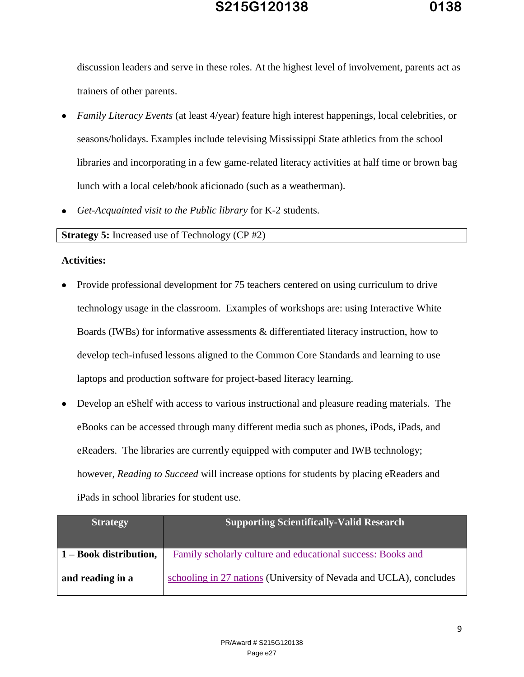discussion leaders and serve in these roles. At the highest level of involvement, parents act as trainers of other parents.

- *Family Literacy Events* (at least 4/year) feature high interest happenings, local celebrities, or seasons/holidays. Examples include televising Mississippi State athletics from the school libraries and incorporating in a few game-related literacy activities at half time or brown bag lunch with a local celeb/book aficionado (such as a weatherman).
- *Get-Acquainted visit to the Public library* for K-2 students.

**Strategy 5:** Increased use of Technology (CP #2)

### **Activities:**

- Provide professional development for 75 teachers centered on using curriculum to drive technology usage in the classroom. Examples of workshops are: using Interactive White Boards (IWBs) for informative assessments & differentiated literacy instruction, how to develop tech-infused lessons aligned to the Common Core Standards and learning to use laptops and production software for project-based literacy learning.
- Develop an eShelf with access to various instructional and pleasure reading materials. The eBooks can be accessed through many different media such as phones, iPods, iPads, and eReaders. The libraries are currently equipped with computer and IWB technology; however, *Reading to Succeed* will increase options for students by placing eReaders and iPads in school libraries for student use.

| <b>Strategy</b>                             | <b>Supporting Scientifically-Valid Research</b>                    |
|---------------------------------------------|--------------------------------------------------------------------|
| $\vert 1 - \text{Book distribution}, \vert$ | Family scholarly culture and educational success: Books and        |
| and reading in a                            | schooling in 27 nations (University of Nevada and UCLA), concludes |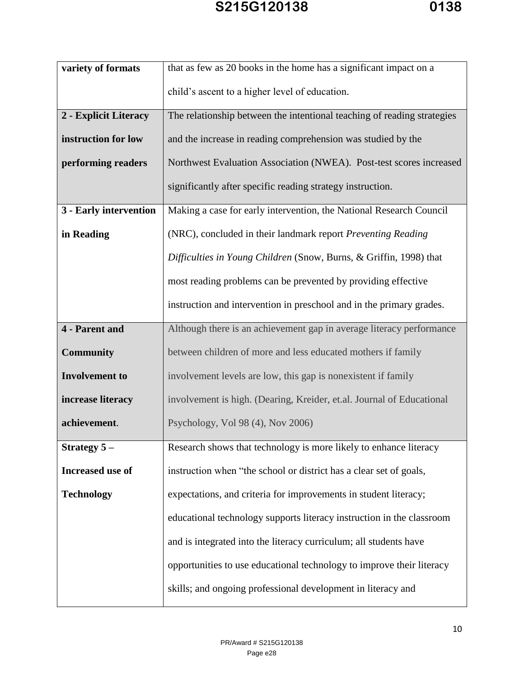| variety of formats     | that as few as 20 books in the home has a significant impact on a       |
|------------------------|-------------------------------------------------------------------------|
|                        | child's ascent to a higher level of education.                          |
| 2 - Explicit Literacy  | The relationship between the intentional teaching of reading strategies |
| instruction for low    | and the increase in reading comprehension was studied by the            |
| performing readers     | Northwest Evaluation Association (NWEA). Post-test scores increased     |
|                        | significantly after specific reading strategy instruction.              |
| 3 - Early intervention | Making a case for early intervention, the National Research Council     |
| in Reading             | (NRC), concluded in their landmark report Preventing Reading            |
|                        | Difficulties in Young Children (Snow, Burns, & Griffin, 1998) that      |
|                        | most reading problems can be prevented by providing effective           |
|                        | instruction and intervention in preschool and in the primary grades.    |
| <b>4</b> - Parent and  | Although there is an achievement gap in average literacy performance    |
| Community              | between children of more and less educated mothers if family            |
| <b>Involvement</b> to  | involvement levels are low, this gap is nonexistent if family           |
| increase literacy      | involvement is high. (Dearing, Kreider, et.al. Journal of Educational   |
| achievement.           | Psychology, Vol 98 (4), Nov 2006)                                       |
| Strategy $5-$          | Research shows that technology is more likely to enhance literacy       |
| Increased use of       | instruction when "the school or district has a clear set of goals,      |
| <b>Technology</b>      | expectations, and criteria for improvements in student literacy;        |
|                        | educational technology supports literacy instruction in the classroom   |
|                        | and is integrated into the literacy curriculum; all students have       |
|                        | opportunities to use educational technology to improve their literacy   |
|                        | skills; and ongoing professional development in literacy and            |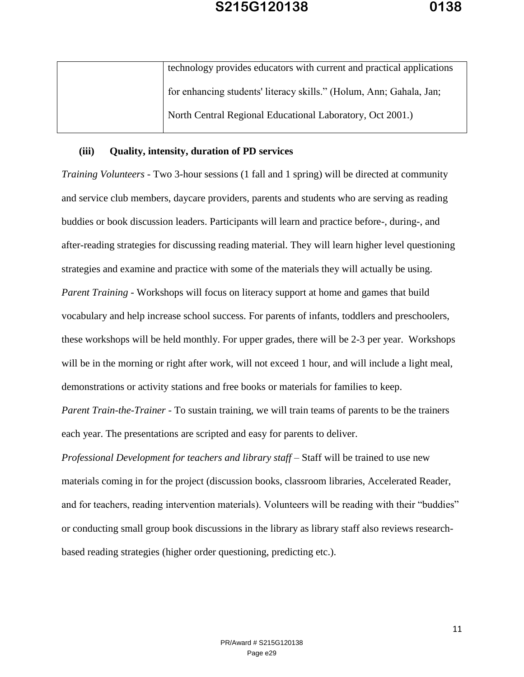| technology provides educators with current and practical applications |
|-----------------------------------------------------------------------|
| for enhancing students' literacy skills." (Holum, Ann; Gahala, Jan;   |
| North Central Regional Educational Laboratory, Oct 2001.)             |
|                                                                       |

### **(iii) Quality, intensity, duration of PD services**

*Training Volunteers* - Two 3-hour sessions (1 fall and 1 spring) will be directed at community and service club members, daycare providers, parents and students who are serving as reading buddies or book discussion leaders. Participants will learn and practice before-, during-, and after-reading strategies for discussing reading material. They will learn higher level questioning strategies and examine and practice with some of the materials they will actually be using. *Parent Training -* Workshops will focus on literacy support at home and games that build vocabulary and help increase school success. For parents of infants, toddlers and preschoolers, these workshops will be held monthly. For upper grades, there will be 2-3 per year. Workshops will be in the morning or right after work, will not exceed 1 hour, and will include a light meal, demonstrations or activity stations and free books or materials for families to keep.

*Parent Train-the-Trainer -* To sustain training, we will train teams of parents to be the trainers each year. The presentations are scripted and easy for parents to deliver.

*Professional Development for teachers and library staff –* Staff will be trained to use new materials coming in for the project (discussion books, classroom libraries, Accelerated Reader, and for teachers, reading intervention materials). Volunteers will be reading with their "buddies" or conducting small group book discussions in the library as library staff also reviews researchbased reading strategies (higher order questioning, predicting etc.).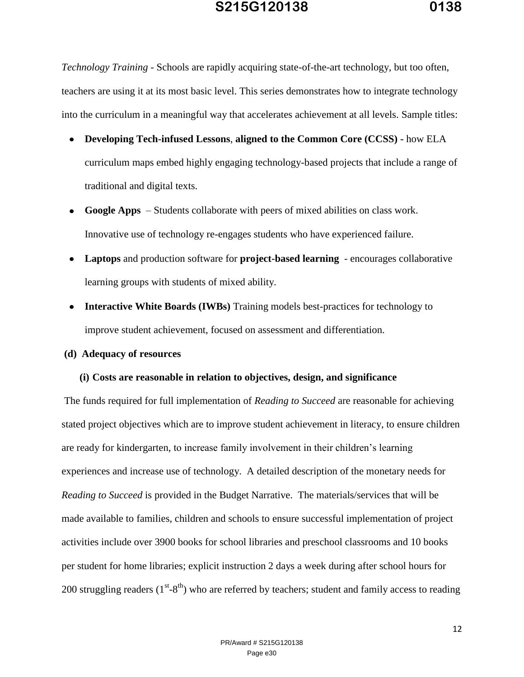*Technology Training -* Schools are rapidly acquiring state-of-the-art technology, but too often, teachers are using it at its most basic level. This series demonstrates how to integrate technology into the curriculum in a meaningful way that accelerates achievement at all levels. Sample titles:

- **Developing Tech-infused Lessons**, **aligned to the Common Core (CCSS) -** how ELA curriculum maps embed highly engaging technology-based projects that include a range of traditional and digital texts.
- **Google Apps**  Students collaborate with peers of mixed abilities on class work. Innovative use of technology re-engages students who have experienced failure.
- **Laptops** and production software for **project-based learning**  encourages collaborative learning groups with students of mixed ability.
- Interactive White Boards (IWBs) Training models best-practices for technology to improve student achievement, focused on assessment and differentiation.

### **(d) Adequacy of resources**

#### **(i) Costs are reasonable in relation to objectives, design, and significance**

The funds required for full implementation of *Reading to Succeed* are reasonable for achieving stated project objectives which are to improve student achievement in literacy, to ensure children are ready for kindergarten, to increase family involvement in their children's learning experiences and increase use of technology. A detailed description of the monetary needs for *Reading to Succeed* is provided in the Budget Narrative. The materials/services that will be made available to families, children and schools to ensure successful implementation of project activities include over 3900 books for school libraries and preschool classrooms and 10 books per student for home libraries; explicit instruction 2 days a week during after school hours for 200 struggling readers  $(1^{st} - 8^{th})$  who are referred by teachers; student and family access to reading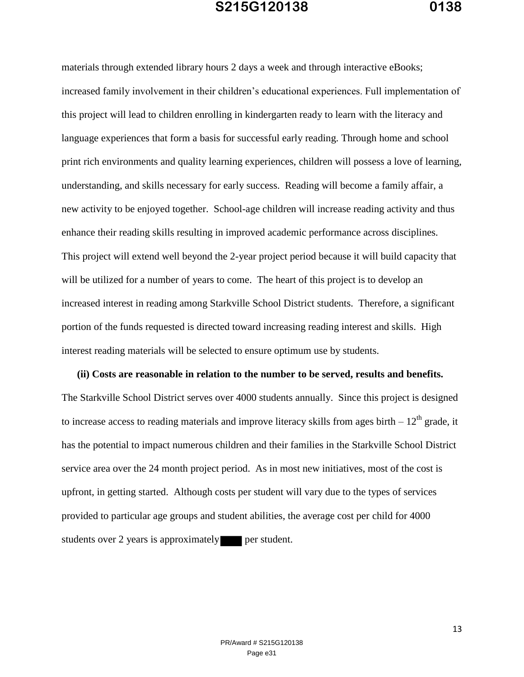materials through extended library hours 2 days a week and through interactive eBooks; increased family involvement in their children's educational experiences. Full implementation of this project will lead to children enrolling in kindergarten ready to learn with the literacy and language experiences that form a basis for successful early reading. Through home and school print rich environments and quality learning experiences, children will possess a love of learning, understanding, and skills necessary for early success. Reading will become a family affair, a new activity to be enjoyed together. School-age children will increase reading activity and thus enhance their reading skills resulting in improved academic performance across disciplines. This project will extend well beyond the 2-year project period because it will build capacity that will be utilized for a number of years to come. The heart of this project is to develop an increased interest in reading among Starkville School District students. Therefore, a significant portion of the funds requested is directed toward increasing reading interest and skills. High interest reading materials will be selected to ensure optimum use by students.

**(ii) Costs are reasonable in relation to the number to be served, results and benefits.**  The Starkville School District serves over 4000 students annually. Since this project is designed to increase access to reading materials and improve literacy skills from ages birth  $-12<sup>th</sup>$  grade, it has the potential to impact numerous children and their families in the Starkville School District service area over the 24 month project period. As in most new initiatives, most of the cost is upfront, in getting started. Although costs per student will vary due to the types of services provided to particular age groups and student abilities, the average cost per child for 4000 students over 2 years is approximately **per student.**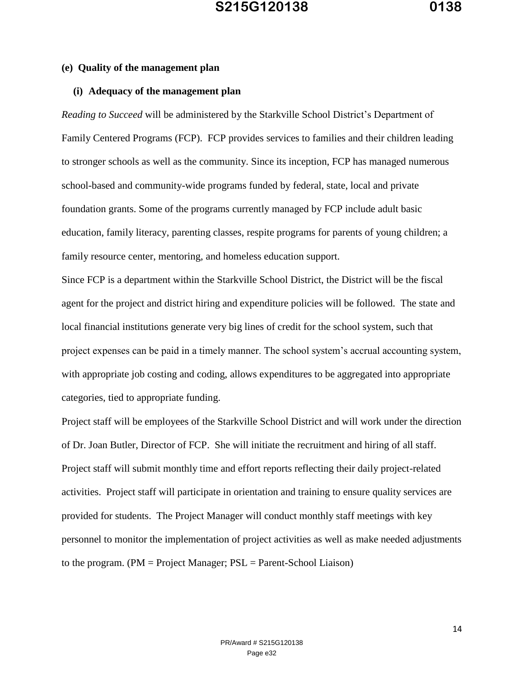### **(e) Quality of the management plan**

### **(i) Adequacy of the management plan**

*Reading to Succeed* will be administered by the Starkville School District's Department of Family Centered Programs (FCP). FCP provides services to families and their children leading to stronger schools as well as the community. Since its inception, FCP has managed numerous school-based and community-wide programs funded by federal, state, local and private foundation grants. Some of the programs currently managed by FCP include adult basic education, family literacy, parenting classes, respite programs for parents of young children; a family resource center, mentoring, and homeless education support.

Since FCP is a department within the Starkville School District, the District will be the fiscal agent for the project and district hiring and expenditure policies will be followed. The state and local financial institutions generate very big lines of credit for the school system, such that project expenses can be paid in a timely manner. The school system's accrual accounting system, with appropriate job costing and coding, allows expenditures to be aggregated into appropriate categories, tied to appropriate funding.

Project staff will be employees of the Starkville School District and will work under the direction of Dr. Joan Butler, Director of FCP. She will initiate the recruitment and hiring of all staff. Project staff will submit monthly time and effort reports reflecting their daily project-related activities. Project staff will participate in orientation and training to ensure quality services are provided for students. The Project Manager will conduct monthly staff meetings with key personnel to monitor the implementation of project activities as well as make needed adjustments to the program. (PM = Project Manager; PSL = Parent-School Liaison)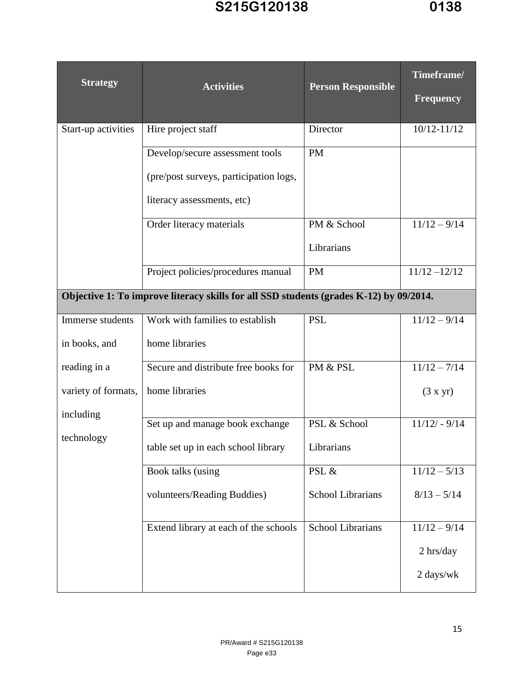| <b>Strategy</b>                                                                        | <b>Activities</b>                               |                           | Timeframe/       |  |
|----------------------------------------------------------------------------------------|-------------------------------------------------|---------------------------|------------------|--|
|                                                                                        |                                                 | <b>Person Responsible</b> | <b>Frequency</b> |  |
| Start-up activities                                                                    | Hire project staff                              | Director                  | $10/12 - 11/12$  |  |
|                                                                                        | Develop/secure assessment tools                 | <b>PM</b>                 |                  |  |
|                                                                                        | (pre/post surveys, participation logs,          |                           |                  |  |
|                                                                                        | literacy assessments, etc)                      |                           |                  |  |
|                                                                                        | Order literacy materials                        | PM & School               | $11/12 - 9/14$   |  |
|                                                                                        |                                                 | Librarians                |                  |  |
|                                                                                        | Project policies/procedures manual<br><b>PM</b> |                           | $11/12 - 12/12$  |  |
| Objective 1: To improve literacy skills for all SSD students (grades K-12) by 09/2014. |                                                 |                           |                  |  |
| Immerse students                                                                       | Work with families to establish                 | <b>PSL</b>                | $11/12 - 9/14$   |  |
| in books, and                                                                          | home libraries                                  |                           |                  |  |
| reading in a                                                                           | Secure and distribute free books for            | PM & PSL                  | $11/12 - 7/14$   |  |
| variety of formats,                                                                    | home libraries                                  |                           | (3 x yr)         |  |
| including                                                                              | Set up and manage book exchange                 | PSL & School              | $11/12/ - 9/14$  |  |
| technology                                                                             | table set up in each school library             | Librarians                |                  |  |
|                                                                                        | Book talks (using                               | PSL &                     | $11/12 - 5/13$   |  |
|                                                                                        | volunteers/Reading Buddies)                     | <b>School Librarians</b>  | $8/13 - 5/14$    |  |
|                                                                                        | Extend library at each of the schools           | <b>School Librarians</b>  | $11/12 - 9/14$   |  |
|                                                                                        |                                                 |                           | $2 \,$ hrs/day   |  |
|                                                                                        |                                                 |                           | 2 days/wk        |  |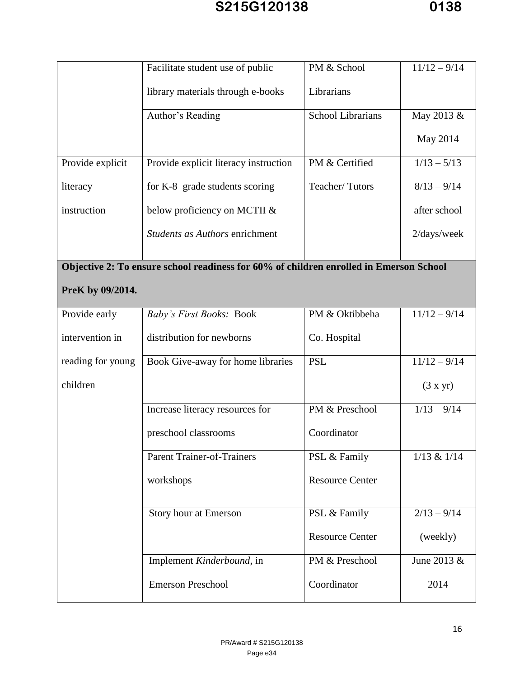|                   | Facilitate student use of public                                                       | PM & School              | $11/12 - 9/14$ |
|-------------------|----------------------------------------------------------------------------------------|--------------------------|----------------|
|                   | library materials through e-books                                                      | Librarians               |                |
|                   | Author's Reading                                                                       | <b>School Librarians</b> | May 2013 &     |
|                   |                                                                                        |                          | May 2014       |
| Provide explicit  | Provide explicit literacy instruction                                                  | PM & Certified           | $1/13 - 5/13$  |
| literacy          | for K-8 grade students scoring                                                         | Teacher/Tutors           | $8/13 - 9/14$  |
| instruction       | below proficiency on MCTII &                                                           |                          | after school   |
|                   | Students as Authors enrichment                                                         |                          | 2/days/week    |
|                   |                                                                                        |                          |                |
|                   | Objective 2: To ensure school readiness for 60% of children enrolled in Emerson School |                          |                |
| PreK by 09/2014.  |                                                                                        |                          |                |
| Provide early     | Baby's First Books: Book                                                               | PM & Oktibbeha           | $11/12 - 9/14$ |
| intervention in   | distribution for newborns                                                              | Co. Hospital             |                |
| reading for young | Book Give-away for home libraries                                                      | <b>PSL</b>               | $11/12 - 9/14$ |
| children          |                                                                                        |                          | (3 x yr)       |
|                   | Increase literacy resources for                                                        | PM & Preschool           | $1/13 - 9/14$  |
|                   | preschool classrooms                                                                   | Coordinator              |                |
|                   | Parent Trainer-of-Trainers                                                             | PSL & Family             | 1/13 & 1/14    |
|                   | workshops                                                                              | <b>Resource Center</b>   |                |
|                   | Story hour at Emerson                                                                  | PSL & Family             | $2/13 - 9/14$  |
|                   |                                                                                        | <b>Resource Center</b>   | (weekly)       |
|                   | Implement Kinderbound, in                                                              | PM & Preschool           | June 2013 &    |
|                   | <b>Emerson Preschool</b>                                                               | Coordinator              | 2014           |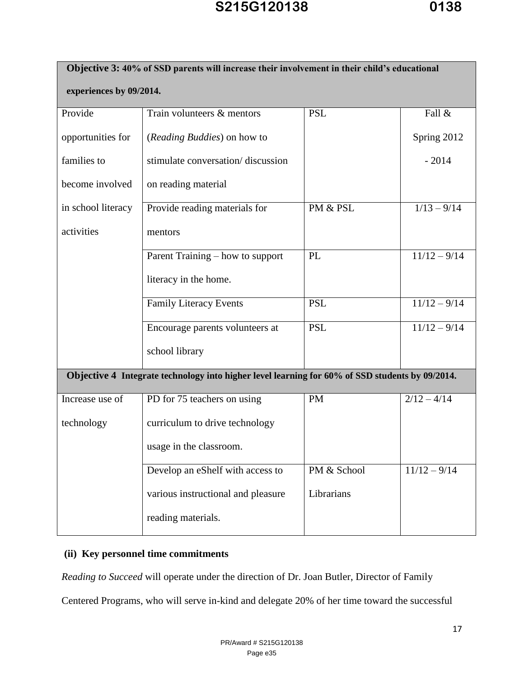| Objective 3: 40% of SSD parents will increase their involvement in their child's educational |                                                                                                 |             |                |  |  |
|----------------------------------------------------------------------------------------------|-------------------------------------------------------------------------------------------------|-------------|----------------|--|--|
| experiences by 09/2014.                                                                      |                                                                                                 |             |                |  |  |
| Provide                                                                                      | Train volunteers & mentors                                                                      | Fall &      |                |  |  |
| opportunities for                                                                            | ( <i>Reading Buddies</i> ) on how to                                                            |             | Spring 2012    |  |  |
| families to                                                                                  | stimulate conversation/discussion                                                               |             | $-2014$        |  |  |
| become involved                                                                              | on reading material                                                                             |             |                |  |  |
| in school literacy                                                                           | Provide reading materials for                                                                   | PM & PSL    | $1/13 - 9/14$  |  |  |
| activities                                                                                   | mentors                                                                                         |             |                |  |  |
|                                                                                              | Parent Training – how to support                                                                | PL          | $11/12 - 9/14$ |  |  |
|                                                                                              | literacy in the home.                                                                           |             |                |  |  |
|                                                                                              | <b>Family Literacy Events</b>                                                                   | <b>PSL</b>  | $11/12 - 9/14$ |  |  |
|                                                                                              | Encourage parents volunteers at                                                                 | <b>PSL</b>  | $11/12 - 9/14$ |  |  |
|                                                                                              | school library                                                                                  |             |                |  |  |
|                                                                                              | Objective 4 Integrate technology into higher level learning for 60% of SSD students by 09/2014. |             |                |  |  |
| Increase use of                                                                              | PD for 75 teachers on using                                                                     | <b>PM</b>   | $2/12 - 4/14$  |  |  |
| technology                                                                                   | curriculum to drive technology                                                                  |             |                |  |  |
|                                                                                              | usage in the classroom.                                                                         |             |                |  |  |
|                                                                                              | Develop an eShelf with access to                                                                | PM & School | $11/12 - 9/14$ |  |  |
|                                                                                              | Librarians<br>various instructional and pleasure                                                |             |                |  |  |
|                                                                                              | reading materials.                                                                              |             |                |  |  |

### **(ii) Key personnel time commitments**

*Reading to Succeed* will operate under the direction of Dr. Joan Butler, Director of Family

Centered Programs, who will serve in-kind and delegate 20% of her time toward the successful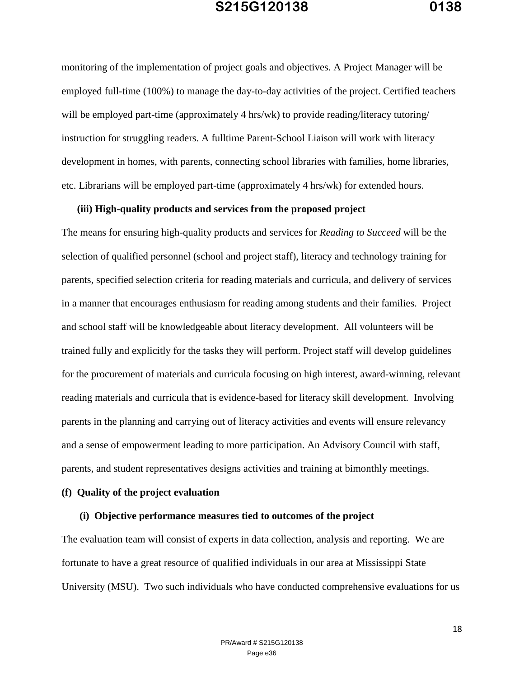monitoring of the implementation of project goals and objectives. A Project Manager will be employed full-time (100%) to manage the day-to-day activities of the project. Certified teachers will be employed part-time (approximately 4 hrs/wk) to provide reading/literacy tutoring/ instruction for struggling readers. A fulltime Parent-School Liaison will work with literacy development in homes, with parents, connecting school libraries with families, home libraries, etc. Librarians will be employed part-time (approximately 4 hrs/wk) for extended hours.

### **(iii) High-quality products and services from the proposed project**

The means for ensuring high-quality products and services for *Reading to Succeed* will be the selection of qualified personnel (school and project staff), literacy and technology training for parents, specified selection criteria for reading materials and curricula, and delivery of services in a manner that encourages enthusiasm for reading among students and their families. Project and school staff will be knowledgeable about literacy development. All volunteers will be trained fully and explicitly for the tasks they will perform. Project staff will develop guidelines for the procurement of materials and curricula focusing on high interest, award-winning, relevant reading materials and curricula that is evidence-based for literacy skill development. Involving parents in the planning and carrying out of literacy activities and events will ensure relevancy and a sense of empowerment leading to more participation. An Advisory Council with staff, parents, and student representatives designs activities and training at bimonthly meetings.

#### **(f) Quality of the project evaluation**

#### **(i) Objective performance measures tied to outcomes of the project**

The evaluation team will consist of experts in data collection, analysis and reporting. We are fortunate to have a great resource of qualified individuals in our area at Mississippi State University (MSU). Two such individuals who have conducted comprehensive evaluations for us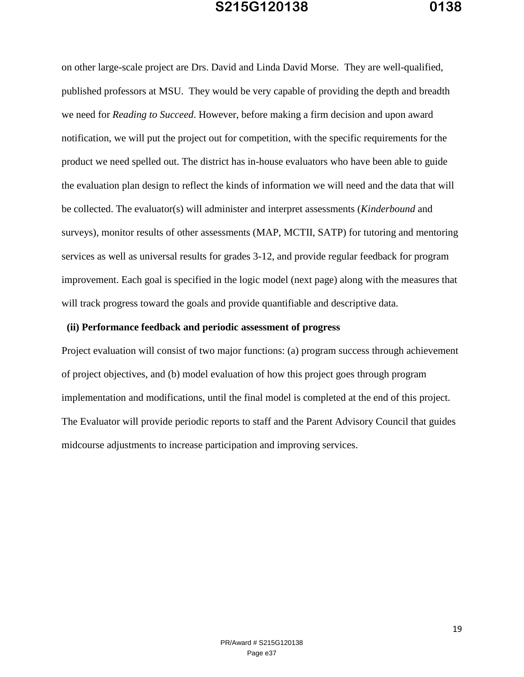on other large-scale project are Drs. David and Linda David Morse. They are well-qualified, published professors at MSU. They would be very capable of providing the depth and breadth we need for *Reading to Succeed*. However, before making a firm decision and upon award notification, we will put the project out for competition, with the specific requirements for the product we need spelled out. The district has in-house evaluators who have been able to guide the evaluation plan design to reflect the kinds of information we will need and the data that will be collected. The evaluator(s) will administer and interpret assessments (*Kinderbound* and surveys), monitor results of other assessments (MAP, MCTII, SATP) for tutoring and mentoring services as well as universal results for grades 3-12, and provide regular feedback for program improvement. Each goal is specified in the logic model (next page) along with the measures that will track progress toward the goals and provide quantifiable and descriptive data.

#### **(ii) Performance feedback and periodic assessment of progress**

Project evaluation will consist of two major functions: (a) program success through achievement of project objectives, and (b) model evaluation of how this project goes through program implementation and modifications, until the final model is completed at the end of this project. The Evaluator will provide periodic reports to staff and the Parent Advisory Council that guides midcourse adjustments to increase participation and improving services.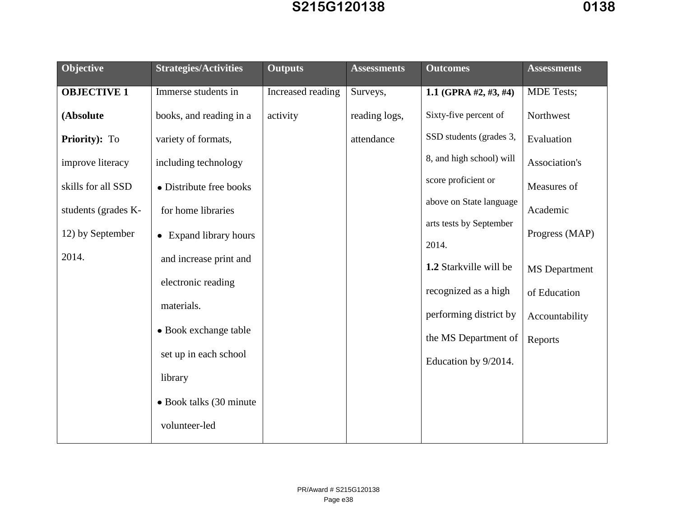| Objective           | <b>Strategies/Activities</b> | <b>Outputs</b>    | <b>Assessments</b> | <b>Outcomes</b>                  | <b>Assessments</b>   |
|---------------------|------------------------------|-------------------|--------------------|----------------------------------|----------------------|
| <b>OBJECTIVE 1</b>  | Immerse students in          | Increased reading | Surveys,           | 1.1 (GPRA #2, #3, #4)            | <b>MDE</b> Tests;    |
| (Absolute           | books, and reading in a      | activity          | reading logs,      | Sixty-five percent of            | Northwest            |
| Priority): To       | variety of formats,          |                   | attendance         | SSD students (grades 3,          | Evaluation           |
| improve literacy    | including technology         |                   |                    | 8, and high school) will         | Association's        |
| skills for all SSD  | • Distribute free books      |                   |                    | score proficient or              | Measures of          |
| students (grades K- | for home libraries           |                   |                    | above on State language          | Academic             |
| 12) by September    | • Expand library hours       |                   |                    | arts tests by September<br>2014. | Progress (MAP)       |
| 2014.               | and increase print and       |                   |                    | 1.2 Starkville will be           | <b>MS</b> Department |
|                     | electronic reading           |                   |                    | recognized as a high             | of Education         |
|                     | materials.                   |                   |                    | performing district by           | Accountability       |
|                     | • Book exchange table        |                   |                    | the MS Department of             | Reports              |
|                     | set up in each school        |                   |                    | Education by 9/2014.             |                      |
|                     | library                      |                   |                    |                                  |                      |
|                     | • Book talks (30 minute)     |                   |                    |                                  |                      |
|                     | volunteer-led                |                   |                    |                                  |                      |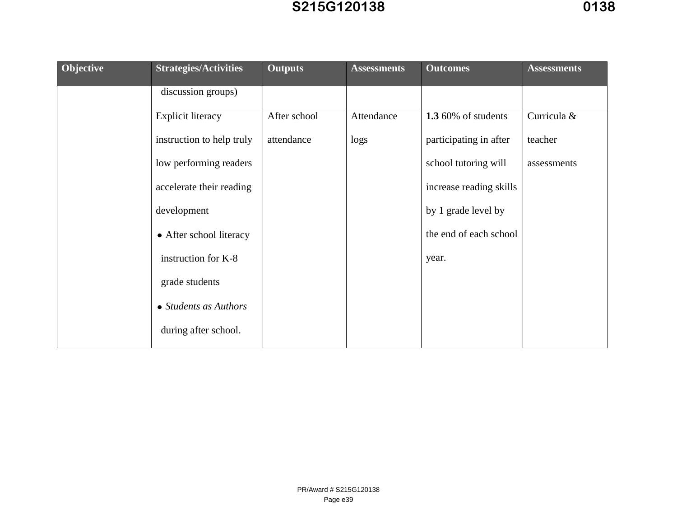|           |                              |                | , , , , , , , , , , , , |                         |                    |
|-----------|------------------------------|----------------|-------------------------|-------------------------|--------------------|
| Objective | <b>Strategies/Activities</b> | <b>Outputs</b> | <b>Assessments</b>      | <b>Outcomes</b>         | <b>Assessments</b> |
|           | discussion groups)           |                |                         |                         |                    |
|           | <b>Explicit literacy</b>     | After school   | Attendance              | 1.3 60% of students     | Curricula &        |
|           | instruction to help truly    | attendance     | logs                    | participating in after  | teacher            |
|           | low performing readers       |                |                         | school tutoring will    | assessments        |
|           | accelerate their reading     |                |                         | increase reading skills |                    |
|           | development                  |                |                         | by 1 grade level by     |                    |
|           | • After school literacy      |                |                         | the end of each school  |                    |
|           | instruction for K-8          |                |                         | year.                   |                    |
|           | grade students               |                |                         |                         |                    |
|           | • Students as Authors        |                |                         |                         |                    |
|           | during after school.         |                |                         |                         |                    |
|           |                              |                |                         |                         |                    |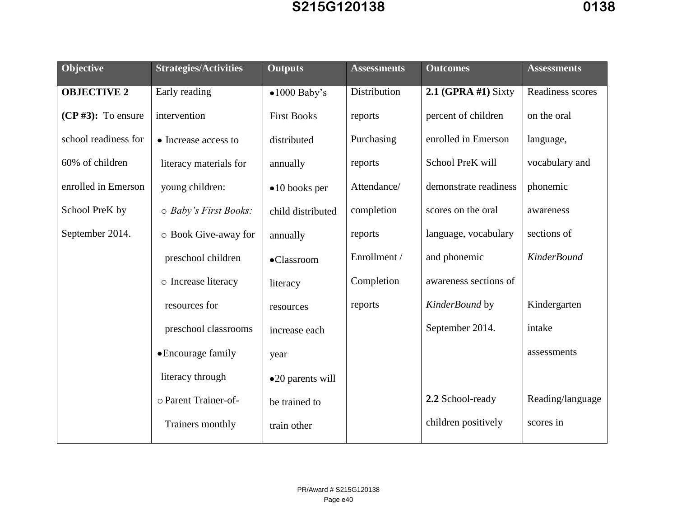# S215G120138

| Objective               | <b>Strategies/Activities</b> | <b>Outputs</b>         | <b>Assessments</b> | <b>Outcomes</b>       | <b>Assessments</b> |
|-------------------------|------------------------------|------------------------|--------------------|-----------------------|--------------------|
| <b>OBJECTIVE 2</b>      | Early reading                | $\bullet$ 1000 Baby's  | Distribution       | 2.1 (GPRA #1) Sixty   | Readiness scores   |
| $(CP \# 3)$ : To ensure | intervention                 | <b>First Books</b>     | reports            | percent of children   | on the oral        |
| school readiness for    | • Increase access to         | distributed            | Purchasing         | enrolled in Emerson   | language,          |
| 60% of children         | literacy materials for       | annually               | reports            | School PreK will      | vocabulary and     |
| enrolled in Emerson     | young children:              | $\bullet$ 10 books per | Attendance/        | demonstrate readiness | phonemic           |
| School PreK by          | $\circ$ Baby's First Books:  | child distributed      | completion         | scores on the oral    | awareness          |
| September 2014.         | o Book Give-away for         | annually               | reports            | language, vocabulary  | sections of        |
|                         | preschool children           | •Classroom             | Enrollment /       | and phonemic          | <b>KinderBound</b> |
|                         | o Increase literacy          | literacy               | Completion         | awareness sections of |                    |
|                         | resources for                | resources              | reports            | KinderBound by        | Kindergarten       |
|                         | preschool classrooms         | increase each          |                    | September 2014.       | intake             |
|                         | • Encourage family           | year                   |                    |                       | assessments        |
|                         | literacy through             | •20 parents will       |                    |                       |                    |
|                         | o Parent Trainer-of-         | be trained to          |                    | 2.2 School-ready      | Reading/language   |
|                         | Trainers monthly             | train other            |                    | children positively   | scores in          |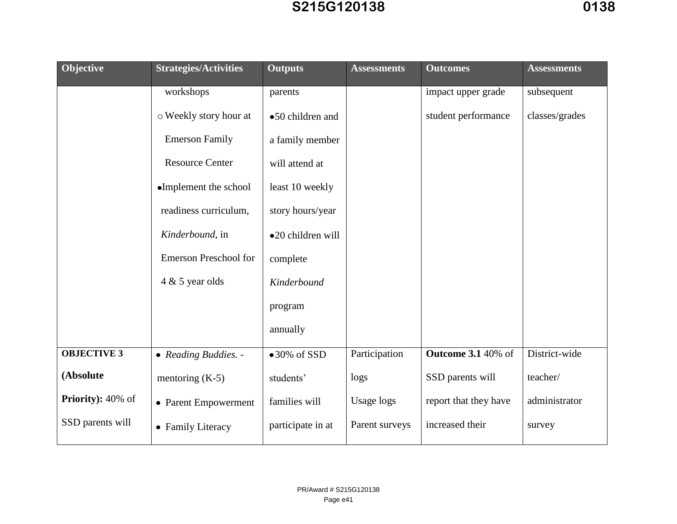| Objective                 | <b>Strategies/Activities</b> | <b>Outputs</b>       | <b>Assessments</b> | <b>Outcomes</b>           | <b>Assessments</b> |
|---------------------------|------------------------------|----------------------|--------------------|---------------------------|--------------------|
|                           | workshops                    | parents              |                    | impact upper grade        | subsequent         |
|                           | o Weekly story hour at       | •50 children and     |                    | student performance       | classes/grades     |
|                           | <b>Emerson Family</b>        | a family member      |                    |                           |                    |
|                           | <b>Resource Center</b>       | will attend at       |                    |                           |                    |
|                           | •Implement the school        | least 10 weekly      |                    |                           |                    |
|                           | readiness curriculum,        | story hours/year     |                    |                           |                    |
|                           | Kinderbound, in              | •20 children will    |                    |                           |                    |
|                           | <b>Emerson Preschool for</b> | complete             |                    |                           |                    |
|                           | $4 & 5$ year olds            | Kinderbound          |                    |                           |                    |
|                           |                              | program              |                    |                           |                    |
|                           |                              | annually             |                    |                           |                    |
| <b>OBJECTIVE 3</b>        | • Reading Buddies. -         | $\bullet$ 30% of SSD | Participation      | <b>Outcome 3.1 40% of</b> | District-wide      |
| (Absolute                 | mentoring $(K-5)$            | students'            | logs               | SSD parents will          | teacher/           |
| <b>Priority</b> ): 40% of | • Parent Empowerment         | families will        | <b>Usage logs</b>  | report that they have     | administrator      |
| SSD parents will          | • Family Literacy            | participate in at    | Parent surveys     | increased their           | survey             |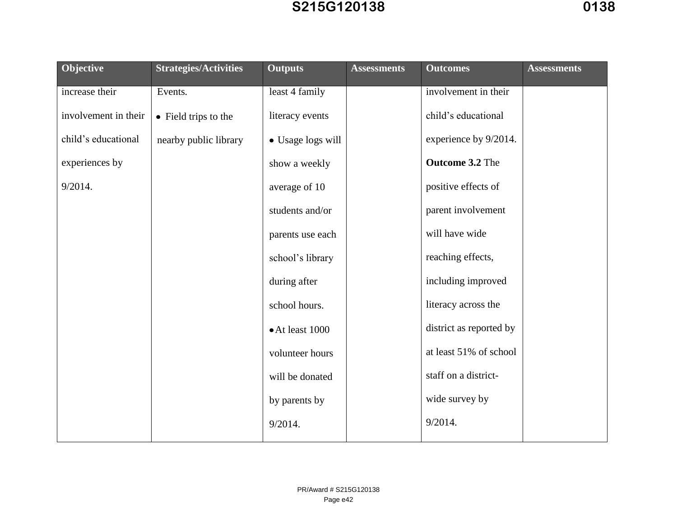| Objective            | <b>Strategies/Activities</b> | <b>Outputs</b>    | <b>Assessments</b> | <b>Outcomes</b>         | <b>Assessments</b> |
|----------------------|------------------------------|-------------------|--------------------|-------------------------|--------------------|
| increase their       | Events.                      | least 4 family    |                    | involvement in their    |                    |
| involvement in their | • Field trips to the         | literacy events   |                    | child's educational     |                    |
| child's educational  | nearby public library        | • Usage logs will |                    | experience by 9/2014.   |                    |
| experiences by       |                              | show a weekly     |                    | Outcome 3.2 The         |                    |
| 9/2014.              |                              | average of 10     |                    | positive effects of     |                    |
|                      |                              | students and/or   |                    | parent involvement      |                    |
|                      |                              | parents use each  |                    | will have wide          |                    |
|                      |                              | school's library  |                    | reaching effects,       |                    |
|                      |                              | during after      |                    | including improved      |                    |
|                      |                              | school hours.     |                    | literacy across the     |                    |
|                      |                              | • At least 1000   |                    | district as reported by |                    |
|                      |                              | volunteer hours   |                    | at least 51% of school  |                    |
|                      |                              | will be donated   |                    | staff on a district-    |                    |
|                      |                              | by parents by     |                    | wide survey by          |                    |
|                      |                              | 9/2014.           |                    | 9/2014.                 |                    |